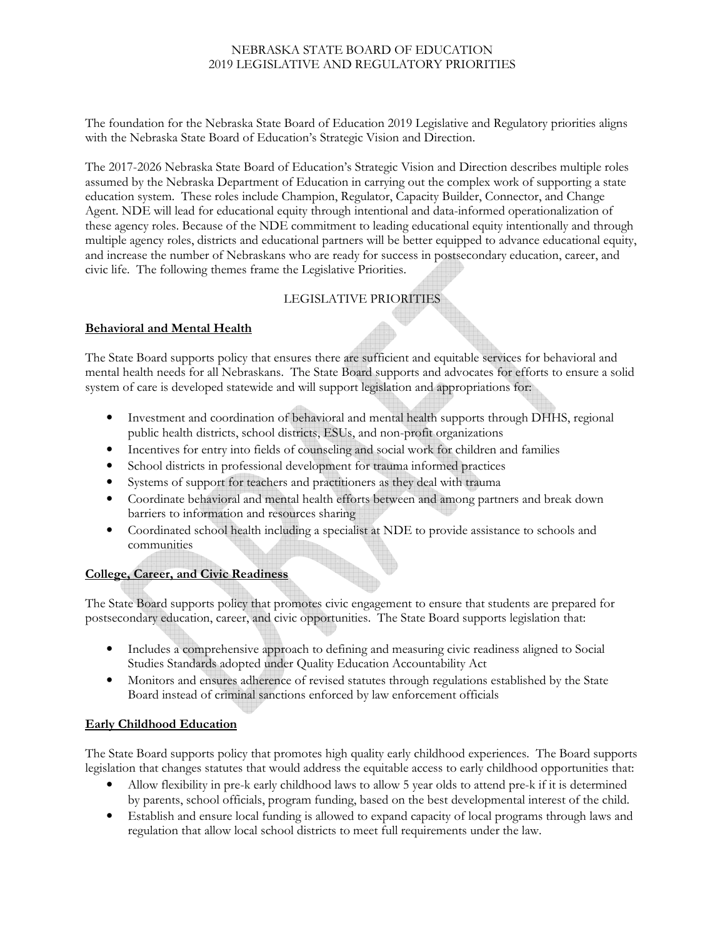### NEBRASKA STATE BOARD OF EDUCATION 2019 LEGISLATIVE AND REGULATORY PRIORITIES

The foundation for the Nebraska State Board of Education 2019 Legislative and Regulatory priorities aligns with the Nebraska State Board of Education's Strategic Vision and Direction.

The 2017-2026 Nebraska State Board of Education's Strategic Vision and Direction describes multiple roles assumed by the Nebraska Department of Education in carrying out the complex work of supporting a state education system. These roles include Champion, Regulator, Capacity Builder, Connector, and Change Agent. NDE will lead for educational equity through intentional and data-informed operationalization of these agency roles. Because of the NDE commitment to leading educational equity intentionally and through multiple agency roles, districts and educational partners will be better equipped to advance educational equity, and increase the number of Nebraskans who are ready for success in postsecondary education, career, and civic life. The following themes frame the Legislative Priorities.

# LEGISLATIVE PRIORITIES

## **Behavioral and Mental Health**

The State Board supports policy that ensures there are sufficient and equitable services for behavioral and mental health needs for all Nebraskans. The State Board supports and advocates for efforts to ensure a solid system of care is developed statewide and will support legislation and appropriations for:

- Investment and coordination of behavioral and mental health supports through DHHS, regional public health districts, school districts, ESUs, and non-profit organizations
- Incentives for entry into fields of counseling and social work for children and families
- School districts in professional development for trauma informed practices
- Systems of support for teachers and practitioners as they deal with trauma
- Coordinate behavioral and mental health efforts between and among partners and break down barriers to information and resources sharing
- Coordinated school health including a specialist at NDE to provide assistance to schools and communities

# **College, Career, and Civic Readiness**

The State Board supports policy that promotes civic engagement to ensure that students are prepared for postsecondary education, career, and civic opportunities. The State Board supports legislation that:

- Includes a comprehensive approach to defining and measuring civic readiness aligned to Social Studies Standards adopted under Quality Education Accountability Act
- Monitors and ensures adherence of revised statutes through regulations established by the State Board instead of criminal sanctions enforced by law enforcement officials

### **Early Childhood Education**

The State Board supports policy that promotes high quality early childhood experiences. The Board supports legislation that changes statutes that would address the equitable access to early childhood opportunities that:

- Allow flexibility in pre-k early childhood laws to allow 5 year olds to attend pre-k if it is determined by parents, school officials, program funding, based on the best developmental interest of the child.
- Establish and ensure local funding is allowed to expand capacity of local programs through laws and regulation that allow local school districts to meet full requirements under the law.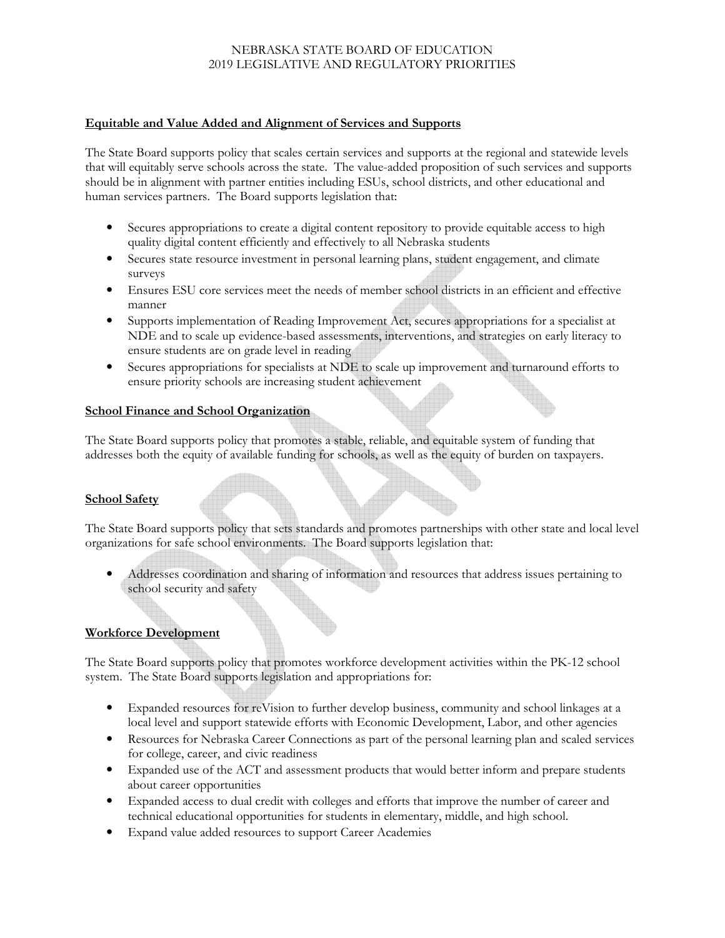## NEBRASKA STATE BOARD OF EDUCATION 2019 LEGISLATIVE AND REGULATORY PRIORITIES

#### **Equitable and Value Added and Alignment of Services and Supports**

The State Board supports policy that scales certain services and supports at the regional and statewide levels that will equitably serve schools across the state. The value-added proposition of such services and supports should be in alignment with partner entities including ESUs, school districts, and other educational and human services partners. The Board supports legislation that:

- Secures appropriations to create a digital content repository to provide equitable access to high quality digital content efficiently and effectively to all Nebraska students
- Secures state resource investment in personal learning plans, student engagement, and climate surveys
- Ensures ESU core services meet the needs of member school districts in an efficient and effective manner
- Supports implementation of Reading Improvement Act, secures appropriations for a specialist at NDE and to scale up evidence-based assessments, interventions, and strategies on early literacy to ensure students are on grade level in reading
- Secures appropriations for specialists at NDE to scale up improvement and turnaround efforts to ensure priority schools are increasing student achievement

#### **School Finance and School Organization**

The State Board supports policy that promotes a stable, reliable, and equitable system of funding that addresses both the equity of available funding for schools, as well as the equity of burden on taxpayers.

### **School Safety**

The State Board supports policy that sets standards and promotes partnerships with other state and local level organizations for safe school environments. The Board supports legislation that:

• Addresses coordination and sharing of information and resources that address issues pertaining to school security and safety

## **Workforce Development**

The State Board supports policy that promotes workforce development activities within the PK-12 school system. The State Board supports legislation and appropriations for:

- Expanded resources for reVision to further develop business, community and school linkages at a local level and support statewide efforts with Economic Development, Labor, and other agencies
- Resources for Nebraska Career Connections as part of the personal learning plan and scaled services for college, career, and civic readiness
- Expanded use of the ACT and assessment products that would better inform and prepare students about career opportunities
- Expanded access to dual credit with colleges and efforts that improve the number of career and technical educational opportunities for students in elementary, middle, and high school.
- Expand value added resources to support Career Academies